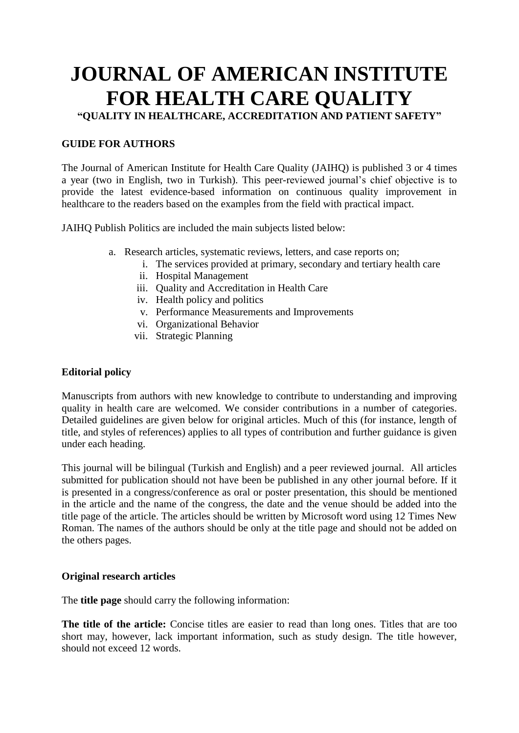# **JOURNAL OF AMERICAN INSTITUTE FOR HEALTH CARE QUALITY**

**"QUALITY IN HEALTHCARE, ACCREDITATION AND PATIENT SAFETY"**

# **GUIDE FOR AUTHORS**

The Journal of American Institute for Health Care Quality (JAIHQ) is published 3 or 4 times a year (two in English, two in Turkish). This peer-reviewed journal's chief objective is to provide the latest evidence-based information on continuous quality improvement in healthcare to the readers based on the examples from the field with practical impact.

JAIHQ Publish Politics are included the main subjects listed below:

- a. Research articles, systematic reviews, letters, and case reports on;
	- i. The services provided at primary, secondary and tertiary health care
	- ii. Hospital Management
	- iii. Quality and Accreditation in Health Care
	- iv. Health policy and politics
	- v. Performance Measurements and Improvements
	- vi. Organizational Behavior
	- vii. Strategic Planning

# **Editorial policy**

Manuscripts from authors with new knowledge to contribute to understanding and improving quality in health care are welcomed. We consider contributions in a number of categories. Detailed guidelines are given below for original articles. Much of this (for instance, length of title, and styles of references) applies to all types of contribution and further guidance is given under each heading.

This journal will be bilingual (Turkish and English) and a peer reviewed journal. All articles submitted for publication should not have been be published in any other journal before. If it is presented in a congress/conference as oral or poster presentation, this should be mentioned in the article and the name of the congress, the date and the venue should be added into the title page of the article. The articles should be written by Microsoft word using 12 Times New Roman. The names of the authors should be only at the title page and should not be added on the others pages.

## **Original research articles**

The **title page** should carry the following information:

**The title of the article:** Concise titles are easier to read than long ones. Titles that are too short may, however, lack important information, such as study design. The title however, should not exceed 12 words.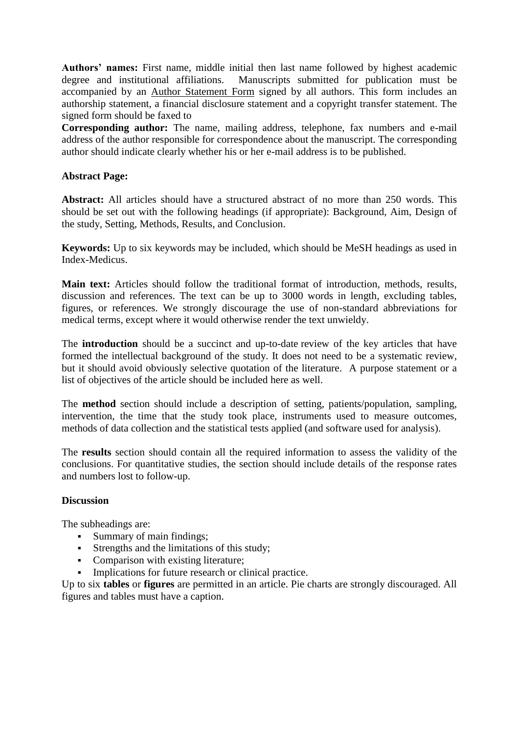**Authors' names:** First name, middle initial then last name followed by highest academic degree and institutional affiliations. Manuscripts submitted for publication must be accompanied by an [Author Statement Form](http://www.aafp.org/online/etc/medialib/aafp_org/documents/news_pubs/afp/authors_form.Par.0001.File.dat/afp_authors_form.pdf) signed by all authors. This form includes an authorship statement, a financial disclosure statement and a copyright transfer statement. The signed form should be faxed to

**Corresponding author:** The name, mailing address, telephone, fax numbers and e-mail address of the author responsible for correspondence about the manuscript. The corresponding author should indicate clearly whether his or her e-mail address is to be published.

## **Abstract Page:**

**Abstract:** All articles should have a structured abstract of no more than 250 words. This should be set out with the following headings (if appropriate): Background, Aim, Design of the study, Setting, Methods, Results, and Conclusion.

**Keywords:** Up to six keywords may be included, which should be MeSH headings as used in Index-Medicus.

**Main text:** Articles should follow the traditional format of introduction, methods, results, discussion and references. The text can be up to 3000 words in length, excluding tables, figures, or references. We strongly discourage the use of non-standard abbreviations for medical terms, except where it would otherwise render the text unwieldy.

The **introduction** should be a succinct and up-to-date review of the key articles that have formed the intellectual background of the study. It does not need to be a systematic review, but it should avoid obviously selective quotation of the literature. A purpose statement or a list of objectives of the article should be included here as well.

The **method** section should include a description of setting, patients/population, sampling, intervention, the time that the study took place, instruments used to measure outcomes, methods of data collection and the statistical tests applied (and software used for analysis).

The **results** section should contain all the required information to assess the validity of the conclusions. For quantitative studies, the section should include details of the response rates and numbers lost to follow-up.

## **Discussion**

The subheadings are:

- Summary of main findings;
- Strengths and the limitations of this study;
- Comparison with existing literature;
- **Implications for future research or clinical practice.**

Up to six **tables** or **figures** are permitted in an article. Pie charts are strongly discouraged. All figures and tables must have a caption.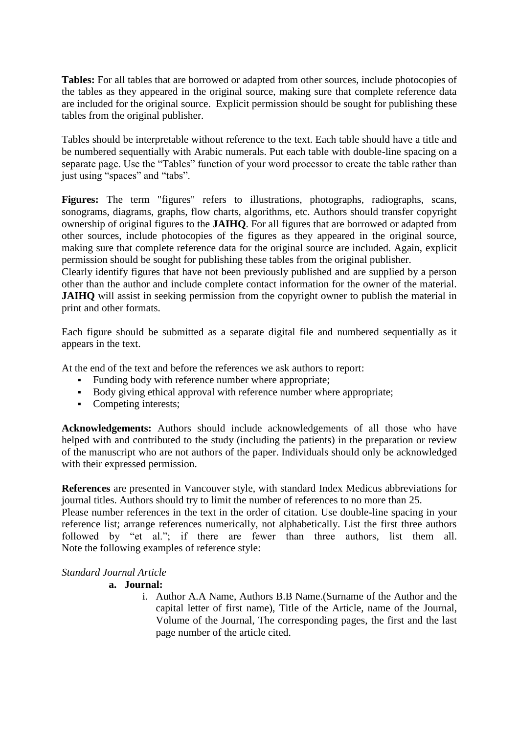**Tables:** For all tables that are borrowed or adapted from other sources, include photocopies of the tables as they appeared in the original source, making sure that complete reference data are included for the original source. Explicit permission should be sought for publishing these tables from the original publisher.

Tables should be interpretable without reference to the text. Each table should have a title and be numbered sequentially with Arabic numerals. Put each table with double-line spacing on a separate page. Use the "Tables" function of your word processor to create the table rather than just using "spaces" and "tabs".

Figures: The term "figures" refers to illustrations, photographs, radiographs, scans, sonograms, diagrams, graphs, flow charts, algorithms, etc. Authors should transfer copyright ownership of original figures to the **JAIHQ**. For all figures that are borrowed or adapted from other sources, include photocopies of the figures as they appeared in the original source, making sure that complete reference data for the original source are included. Again, explicit permission should be sought for publishing these tables from the original publisher.

Clearly identify figures that have not been previously published and are supplied by a person other than the author and include complete contact information for the owner of the material. **JAIHQ** will assist in seeking permission from the copyright owner to publish the material in print and other formats.

Each figure should be submitted as a separate digital file and numbered sequentially as it appears in the text.

At the end of the text and before the references we ask authors to report:

- Funding body with reference number where appropriate;
- Body giving ethical approval with reference number where appropriate;
- Competing interests;

**Acknowledgements:** Authors should include acknowledgements of all those who have helped with and contributed to the study (including the patients) in the preparation or review of the manuscript who are not authors of the paper. Individuals should only be acknowledged with their expressed permission.

**References** are presented in Vancouver style, with standard Index Medicus abbreviations for journal titles. Authors should try to limit the number of references to no more than 25.

Please number references in the text in the order of citation. Use double-line spacing in your reference list; arrange references numerically, not alphabetically. List the first three authors followed by "et al."; if there are fewer than three authors, list them all. Note the following examples of reference style:

## *Standard Journal Article*

## **a. Journal:**

i. Author A.A Name, Authors B.B Name.(Surname of the Author and the capital letter of first name), Title of the Article, name of the Journal, Volume of the Journal, The corresponding pages, the first and the last page number of the article cited.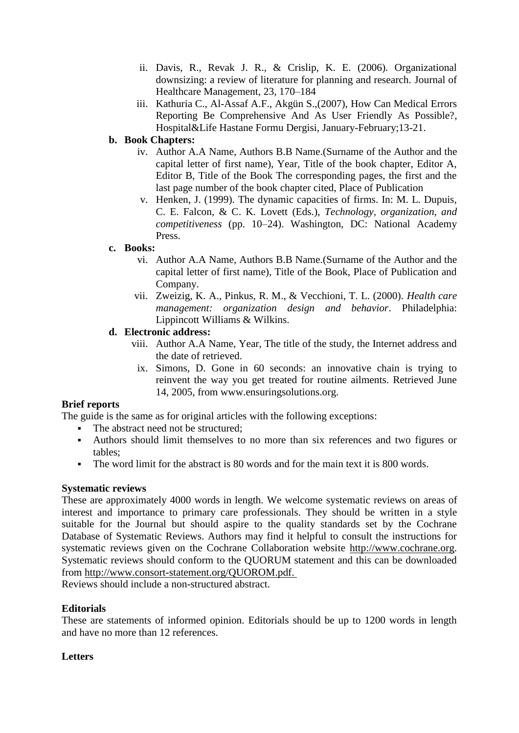- ii. Davis, R., Revak J. R., & Crislip, K. E. (2006). Organizational downsizing: a review of literature for planning and research. Journal of Healthcare Management, 23, 170–184
- iii. Kathuria C., Al-Assaf A.F., Akgün S.,(2007), How Can Medical Errors Reporting Be Comprehensive And As User Friendly As Possible?, Hospital&Life Hastane Formu Dergisi, January-February;13-21.

# **b. Book Chapters:**

- iv. Author A.A Name, Authors B.B Name.(Surname of the Author and the capital letter of first name), Year, Title of the book chapter, Editor A, Editor B, Title of the Book The corresponding pages, the first and the last page number of the book chapter cited, Place of Publication
- v. Henken, J. (1999). The dynamic capacities of firms. In: M. L. Dupuis, C. E. Falcon, & C. K. Lovett (Eds.), *Technology, organization, and competitiveness* (pp. 10–24). Washington, DC: National Academy Press.

# **c. Books:**

- vi. Author A.A Name, Authors B.B Name.(Surname of the Author and the capital letter of first name), Title of the Book, Place of Publication and Company.
- vii. Zweizig, K. A., Pinkus, R. M., & Vecchioni, T. L. (2000). *Health care management: organization design and behavior*. Philadelphia: Lippincott Williams & Wilkins.

# **d. Electronic address:**

- viii. Author A.A Name, Year, The title of the study, the Internet address and the date of retrieved.
- ix. Simons, D. Gone in 60 seconds: an innovative chain is trying to reinvent the way you get treated for routine ailments. Retrieved June 14, 2005, from www.ensuringsolutions.org.

# **Brief reports**

The guide is the same as for original articles with the following exceptions:

- The abstract need not be structured:
- Authors should limit themselves to no more than six references and two figures or tables;
- The word limit for the abstract is 80 words and for the main text it is 800 words.

## **Systematic reviews**

These are approximately 4000 words in length. We welcome systematic reviews on areas of interest and importance to primary care professionals. They should be written in a style suitable for the Journal but should aspire to the quality standards set by the Cochrane Database of Systematic Reviews. Authors may find it helpful to consult the instructions for systematic reviews given on the Cochrane Collaboration website [http://www.cochrane.org.](http://www.cochrane.org/) Systematic reviews should conform to the QUORUM statement and this can be downloaded from [http://www.consort-statement.org/QUOROM.pdf.](http://www.consort-statement.org/QUOROM.pdf)

Reviews should include a non-structured abstract.

## **Editorials**

These are statements of informed opinion. Editorials should be up to 1200 words in length and have no more than 12 references.

# **Letters**